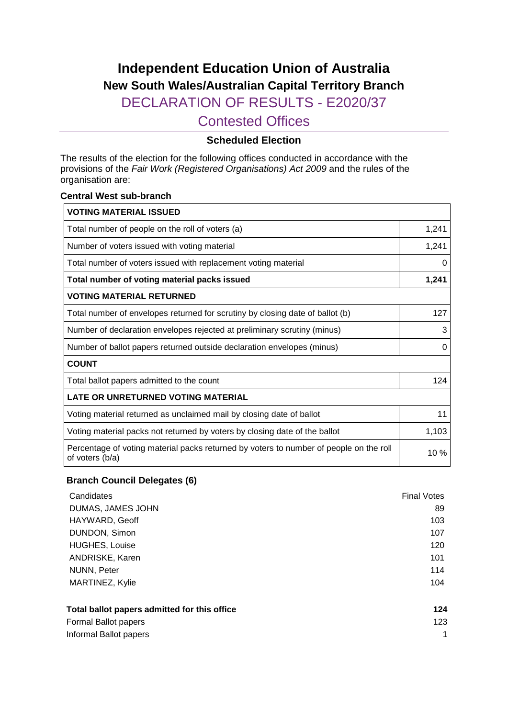# **Independent Education Union of Australia New South Wales/Australian Capital Territory Branch**

DECLARATION OF RESULTS - E2020/37

Contested Offices

### **Scheduled Election**

The results of the election for the following offices conducted in accordance with the provisions of the *Fair Work (Registered Organisations) Act 2009* and the rules of the organisation are:

#### **Central West sub-branch**

| <b>VOTING MATERIAL ISSUED</b>                                                                             |       |
|-----------------------------------------------------------------------------------------------------------|-------|
| Total number of people on the roll of voters (a)                                                          | 1,241 |
| Number of voters issued with voting material                                                              | 1,241 |
| Total number of voters issued with replacement voting material                                            | 0     |
| Total number of voting material packs issued                                                              | 1,241 |
| <b>VOTING MATERIAL RETURNED</b>                                                                           |       |
| Total number of envelopes returned for scrutiny by closing date of ballot (b)                             | 127   |
| Number of declaration envelopes rejected at preliminary scrutiny (minus)                                  |       |
| Number of ballot papers returned outside declaration envelopes (minus)                                    | 0     |
| <b>COUNT</b>                                                                                              |       |
| Total ballot papers admitted to the count                                                                 | 124   |
| <b>LATE OR UNRETURNED VOTING MATERIAL</b>                                                                 |       |
| Voting material returned as unclaimed mail by closing date of ballot                                      | 11    |
| Voting material packs not returned by voters by closing date of the ballot                                | 1,103 |
| Percentage of voting material packs returned by voters to number of people on the roll<br>of voters (b/a) | 10 %  |

#### **Branch Council Delegates (6)**

| Candidates                                   | <b>Final Votes</b> |
|----------------------------------------------|--------------------|
| DUMAS, JAMES JOHN                            | 89                 |
| HAYWARD, Geoff                               | 103                |
| DUNDON, Simon                                | 107                |
| <b>HUGHES, Louise</b>                        | 120                |
| ANDRISKE, Karen                              | 101                |
| NUNN, Peter                                  | 114                |
| MARTINEZ, Kylie                              | 104                |
| Total ballot papers admitted for this office | 124                |
| Formal Ballot papers                         | 123                |
| Informal Ballot papers                       | 1                  |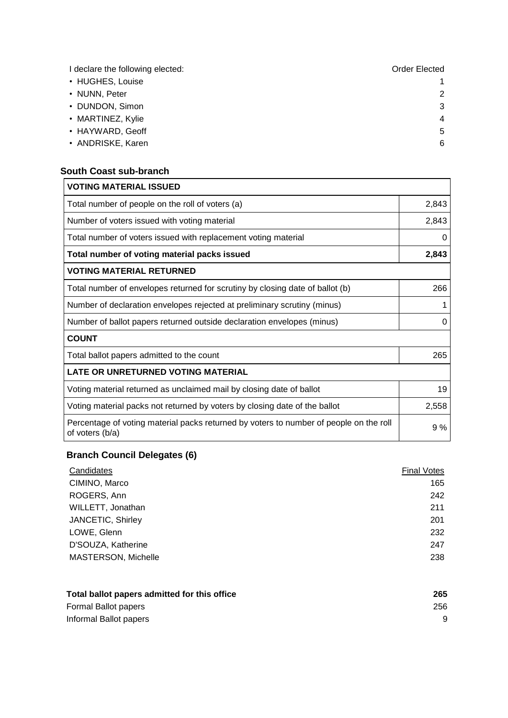| I declare the following elected: | Order Elected |
|----------------------------------|---------------|
| • HUGHES, Louise                 |               |
| • NUNN, Peter                    | 2             |
| • DUNDON, Simon                  | 3             |
| • MARTINEZ, Kylie                | 4             |
| • HAYWARD, Geoff                 | 5             |
| • ANDRISKE, Karen                | 6             |

#### **South Coast sub-branch**

| <b>VOTING MATERIAL ISSUED</b>                                                                             |       |
|-----------------------------------------------------------------------------------------------------------|-------|
| Total number of people on the roll of voters (a)                                                          | 2,843 |
| Number of voters issued with voting material                                                              | 2,843 |
| Total number of voters issued with replacement voting material                                            | 0     |
| Total number of voting material packs issued                                                              | 2,843 |
| <b>VOTING MATERIAL RETURNED</b>                                                                           |       |
| Total number of envelopes returned for scrutiny by closing date of ballot (b)                             | 266   |
| Number of declaration envelopes rejected at preliminary scrutiny (minus)                                  |       |
| Number of ballot papers returned outside declaration envelopes (minus)                                    | 0     |
| <b>COUNT</b>                                                                                              |       |
| Total ballot papers admitted to the count                                                                 | 265   |
| <b>LATE OR UNRETURNED VOTING MATERIAL</b>                                                                 |       |
| Voting material returned as unclaimed mail by closing date of ballot                                      | 19    |
| Voting material packs not returned by voters by closing date of the ballot                                | 2,558 |
| Percentage of voting material packs returned by voters to number of people on the roll<br>of voters (b/a) | 9%    |

## **Branch Council Delegates (6)**

| Candidates                 | <b>Final Votes</b> |
|----------------------------|--------------------|
| CIMINO, Marco              | 165                |
| ROGERS, Ann                | 242                |
| WILLETT, Jonathan          | 211                |
| JANCETIC, Shirley          | 201                |
| LOWE, Glenn                | 232                |
| D'SOUZA, Katherine         | 247                |
| <b>MASTERSON, Michelle</b> | 238                |

| Total ballot papers admitted for this office | 265 |
|----------------------------------------------|-----|
| Formal Ballot papers                         | 256 |
| Informal Ballot papers                       |     |